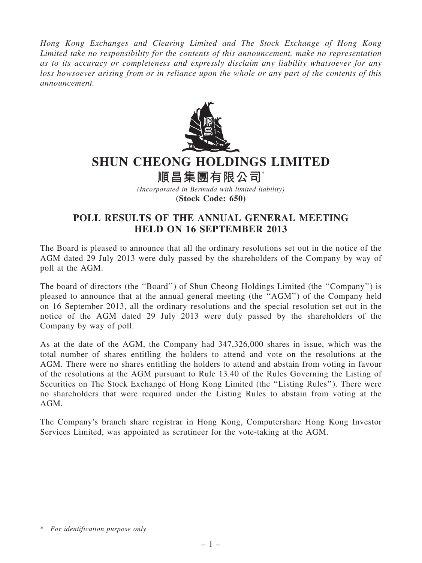Hong Kong Exchanges and Clearing Limited and The Stock Exchange of Hong Kong Limited take no responsibility for the contents of this announcement, make no representation as to its accuracy or completeness and expressly disclaim any liability whatsoever for any loss howsoever arising from or in reliance upon the whole or any part of the contents of this announcement.



## SHUN CHEONG HOLDINGS LIMITED

順昌集團有限公司\*

(Incorporated in Bermuda with limited liability) (Stock Code: 650)

## POLL RESULTS OF THE ANNUAL GENERAL MEETING HELD ON 16 SEPTEMBER 2013

The Board is pleased to announce that all the ordinary resolutions set out in the notice of the AGM dated 29 July 2013 were duly passed by the shareholders of the Company by way of poll at the AGM.

The board of directors (the ''Board'') of Shun Cheong Holdings Limited (the ''Company'') is pleased to announce that at the annual general meeting (the ''AGM'') of the Company held on 16 September 2013, all the ordinary resolutions and the special resolution set out in the notice of the AGM dated 29 July 2013 were duly passed by the shareholders of the Company by way of poll.

As at the date of the AGM, the Company had 347,326,000 shares in issue, which was the total number of shares entitling the holders to attend and vote on the resolutions at the AGM. There were no shares entitling the holders to attend and abstain from voting in favour of the resolutions at the AGM pursuant to Rule 13.40 of the Rules Governing the Listing of Securities on The Stock Exchange of Hong Kong Limited (the ''Listing Rules''). There were no shareholders that were required under the Listing Rules to abstain from voting at the AGM.

The Company's branch share registrar in Hong Kong, Computershare Hong Kong Investor Services Limited, was appointed as scrutineer for the vote-taking at the AGM.

<sup>\*</sup> For identification purpose only